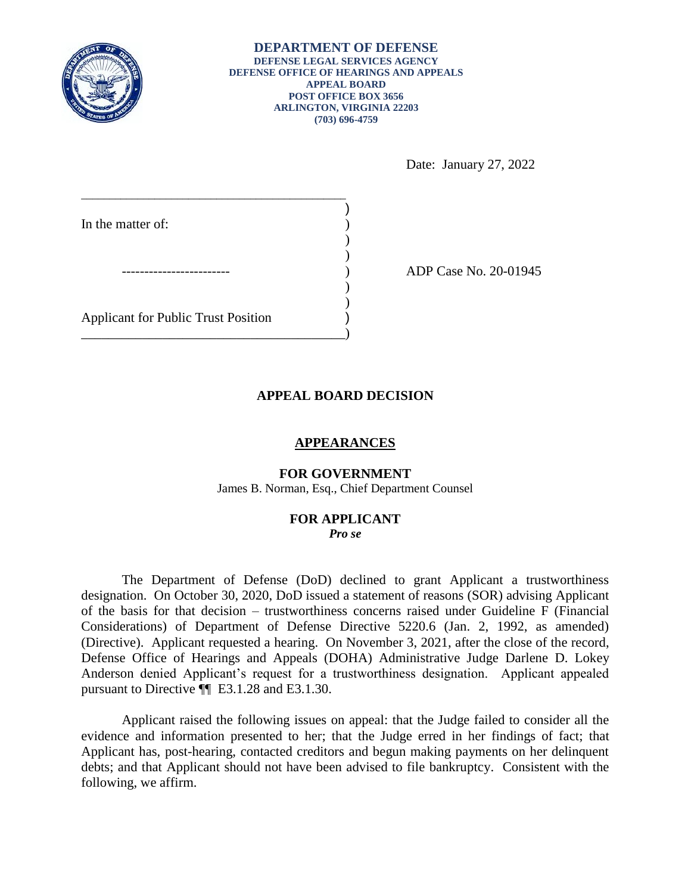

#### **DEPARTMENT OF DEFENSE DEFENSE LEGAL SERVICES AGENCY DEFENSE OFFICE OF HEARINGS AND APPEALS APPEAL BOARD POST OFFICE BOX 3656 ARLINGTON, VIRGINIA 22203 (703) 696-4759**

Date: January 27, 2022

| In the matter of:                          |  |
|--------------------------------------------|--|
|                                            |  |
|                                            |  |
|                                            |  |
|                                            |  |
| <b>Applicant for Public Trust Position</b> |  |
|                                            |  |

ADP Case No. 20-01945

## **APPEAL BOARD DECISION**

#### **APPEARANCES**

**FOR GOVERNMENT**  James B. Norman, Esq., Chief Department Counsel

# **FOR APPLICANT**

### *Pro se*

 The Department of Defense (DoD) declined to grant Applicant a trustworthiness designation. On October 30, 2020, DoD issued a statement of reasons (SOR) advising Applicant of the basis for that decision – trustworthiness concerns raised under Guideline F (Financial Considerations) of Department of Defense Directive 5220.6 (Jan. 2, 1992, as amended) Defense Office of Hearings and Appeals (DOHA) Administrative Judge Darlene D. Lokey pursuant to Directive ¶¶ E3.1.28 and E3.1.30. (Directive). Applicant requested a hearing. On November 3, 2021, after the close of the record, Anderson denied Applicant's request for a trustworthiness designation. Applicant appealed

 Applicant has, post-hearing, contacted creditors and begun making payments on her delinquent debts; and that Applicant should not have been advised to file bankruptcy. Consistent with the Applicant raised the following issues on appeal: that the Judge failed to consider all the evidence and information presented to her; that the Judge erred in her findings of fact; that following, we affirm.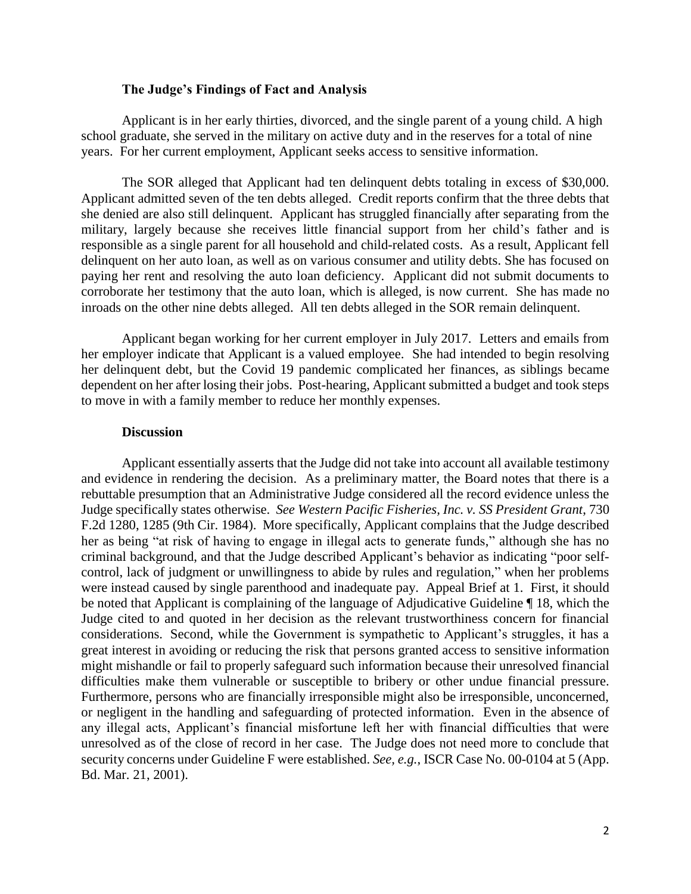#### **The Judge's Findings of Fact and Analysis**

 Applicant is in her early thirties, divorced, and the single parent of a young child. A high years. For her current employment, Applicant seeks access to sensitive information. school graduate, she served in the military on active duty and in the reserves for a total of nine

 she denied are also still delinquent. Applicant has struggled financially after separating from the military, largely because she receives little financial support from her child's father and is delinquent on her auto loan, as well as on various consumer and utility debts. She has focused on paying her rent and resolving the auto loan deficiency. Applicant did not submit documents to The SOR alleged that Applicant had ten delinquent debts totaling in excess of \$30,000. Applicant admitted seven of the ten debts alleged. Credit reports confirm that the three debts that responsible as a single parent for all household and child-related costs. As a result, Applicant fell corroborate her testimony that the auto loan, which is alleged, is now current. She has made no inroads on the other nine debts alleged. All ten debts alleged in the SOR remain delinquent.

 Applicant began working for her current employer in July 2017. Letters and emails from dependent on her after losing their jobs. Post-hearing, Applicant submitted a budget and took steps her employer indicate that Applicant is a valued employee. She had intended to begin resolving her delinquent debt, but the Covid 19 pandemic complicated her finances, as siblings became to move in with a family member to reduce her monthly expenses.

#### **Discussion**

 Applicant essentially asserts that the Judge did not take into account all available testimony and evidence in rendering the decision. As a preliminary matter, the Board notes that there is a Judge specifically states otherwise. *See Western Pacific Fisheries, Inc. v. SS President Grant*, 730 F.2d 1280, 1285 (9th Cir. 1984). More specifically, Applicant complains that the Judge described her as being "at risk of having to engage in illegal acts to generate funds," although she has no control, lack of judgment or unwillingness to abide by rules and regulation," when her problems were instead caused by single parenthood and inadequate pay. Appeal Brief at 1. First, it should Judge cited to and quoted in her decision as the relevant trustworthiness concern for financial considerations. Second, while the Government is sympathetic to Applicant's struggles, it has a might mishandle or fail to properly safeguard such information because their unresolved financial difficulties make them vulnerable or susceptible to bribery or other undue financial pressure. difficulties make them vulnerable or susceptible to bribery or other undue financial pressure. Furthermore, persons who are financially irresponsible might also be irresponsible, unconcerned, or negligent in the handling and safeguarding of protected information. Even in the absence of unresolved as of the close of record in her case. The Judge does not need more to conclude that security concerns under Guideline F were established. *See, e.g.*, ISCR Case No. 00-0104 at 5 (App. Bd. Mar. 21, 2001). rebuttable presumption that an Administrative Judge considered all the record evidence unless the criminal background, and that the Judge described Applicant's behavior as indicating "poor selfbe noted that Applicant is complaining of the language of Adjudicative Guideline ¶ 18, which the great interest in avoiding or reducing the risk that persons granted access to sensitive information any illegal acts, Applicant's financial misfortune left her with financial difficulties that were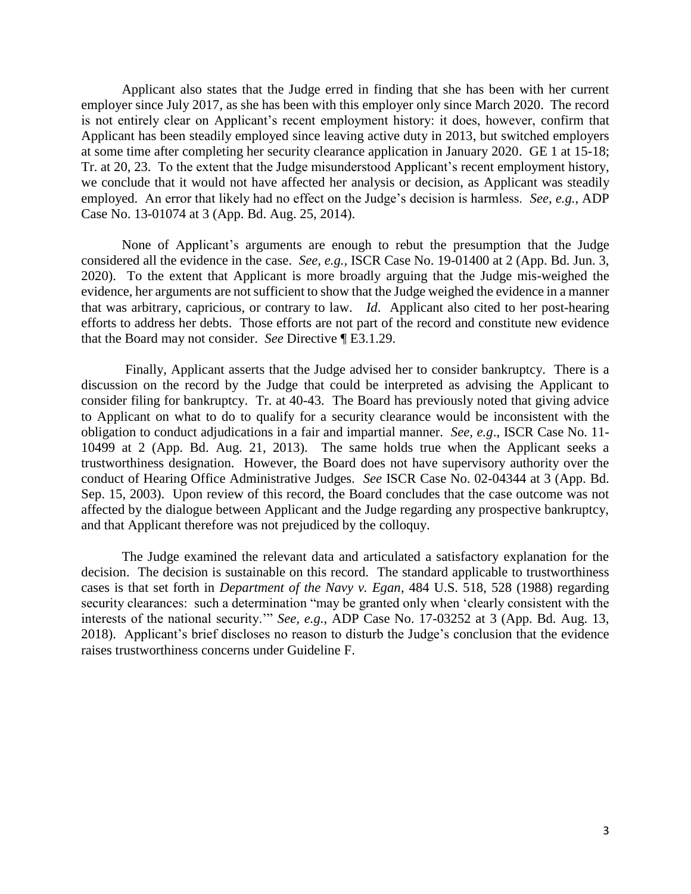Applicant also states that the Judge erred in finding that she has been with her current employer since July 2017, as she has been with this employer only since March 2020. The record Applicant has been steadily employed since leaving active duty in 2013, but switched employers at some time after completing her security clearance application in January 2020. GE 1 at 15-18; Tr. at 20, 23. To the extent that the Judge misunderstood Applicant's recent employment history, employed. An error that likely had no effect on the Judge's decision is harmless. *See, e.g.*, ADP Case No. 13-01074 at 3 (App. Bd. Aug. 25, 2014). is not entirely clear on Applicant's recent employment history: it does, however, confirm that we conclude that it would not have affected her analysis or decision, as Applicant was steadily

 considered all the evidence in the case. *See, e.g.,* ISCR Case No. 19-01400 at 2 (App. Bd. Jun. 3, 2020). To the extent that Applicant is more broadly arguing that the Judge mis-weighed the evidence, her arguments are not sufficient to show that the Judge weighed the evidence in a manner that was arbitrary, capricious, or contrary to law. *Id*. Applicant also cited to her post-hearing efforts to address her debts. Those efforts are not part of the record and constitute new evidence None of Applicant's arguments are enough to rebut the presumption that the Judge that the Board may not consider. *See* Directive ¶ E3.1.29.

 Finally, Applicant asserts that the Judge advised her to consider bankruptcy. There is a discussion on the record by the Judge that could be interpreted as advising the Applicant to consider filing for bankruptcy. Tr. at 40-43. The Board has previously noted that giving advice to Applicant on what to do to qualify for a security clearance would be inconsistent with the obligation to conduct adjudications in a fair and impartial manner. *See, e.g*., ISCR Case No. 11- 10499 at 2 (App. Bd. Aug. 21, 2013). The same holds true when the Applicant seeks a trustworthiness designation. However, the Board does not have supervisory authority over the conduct of Hearing Office Administrative Judges. *See* ISCR Case No. 02-04344 at 3 (App. Bd. Sep. 15, 2003). Upon review of this record, the Board concludes that the case outcome was not affected by the dialogue between Applicant and the Judge regarding any prospective bankruptcy, and that Applicant therefore was not prejudiced by the colloquy.

 The Judge examined the relevant data and articulated a satisfactory explanation for the decision. The decision is sustainable on this record. The standard applicable to trustworthiness interests of the national security.'" *See, e.g.*, ADP Case No. 17-03252 at 3 (App. Bd. Aug. 13, 2018). Applicant's brief discloses no reason to disturb the Judge's conclusion that the evidence cases is that set forth in *Department of the Navy v. Egan*, 484 U.S. 518, 528 (1988) regarding security clearances: such a determination "may be granted only when 'clearly consistent with the raises trustworthiness concerns under Guideline F.